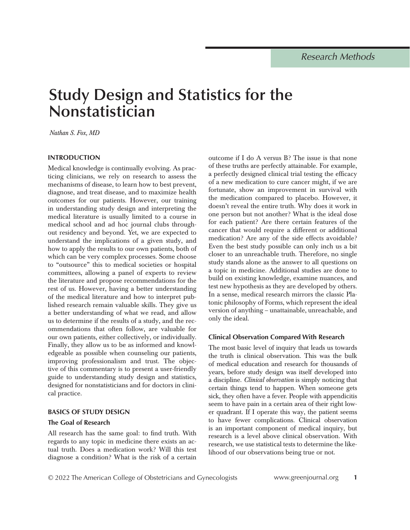# **Study Design and Statistics for the Nonstatistician**

*Nathan S. Fox, MD* 

## **INTRODUCTION**

Medical knowledge is continually evolving. As practicing clinicians, we rely on research to assess the mechanisms of disease, to learn how to best prevent, diagnose, and treat disease, and to maximize health outcomes for our patients. However, our training in understanding study design and interpreting the medical literature is usually limited to a course in medical school and ad hoc journal clubs throughout residency and beyond. Yet, we are expected to understand the implications of a given study, and how to apply the results to our own patients, both of which can be very complex processes. Some choose to "outsource" this to medical societies or hospital committees, allowing a panel of experts to review the literature and propose recommendations for the rest of us. However, having a better understanding of the medical literature and how to interpret published research remain valuable skills. They give us a better understanding of what we read, and allow us to determine if the results of a study, and the recommendations that often follow, are valuable for our own patients, either collectively, or individually. Finally, they allow us to be as informed and knowledgeable as possible when counseling our patients, improving professionalism and trust. The objective of this commentary is to present a user-friendly guide to understanding study design and statistics, designed for nonstatisticians and for doctors in clinical practice.

## **BASICS OF STUDY DESIGN**

## **The Goal of Research**

All research has the same goal: to find truth. With regards to any topic in medicine there exists an actual truth. Does a medication work? Will this test diagnose a condition? What is the risk of a certain outcome if I do A versus B? The issue is that none of these truths are perfectly attainable. For example, a perfectly designed clinical trial testing the efficacy of a new medication to cure cancer might, if we are fortunate, show an improvement in survival with the medication compared to placebo. However, it doesn't reveal the entire truth. Why does it work in one person but not another? What is the ideal dose for each patient? Are there certain features of the cancer that would require a different or additional medication? Are any of the side effects avoidable? Even the best study possible can only inch us a bit closer to an unreachable truth. Therefore, no single study stands alone as the answer to all questions on a topic in medicine. Additional studies are done to build on existing knowledge, examine nuances, and test new hypothesis as they are developed by others. In a sense, medical research mirrors the classic Platonic philosophy of Forms, which represent the ideal version of anything – unattainable, unreachable, and only the ideal.

## **Clinical Observation Compared With Research**

The most basic level of inquiry that leads us towards the truth is clinical observation. This was the bulk of medical education and research for thousands of years, before study design was itself developed into a discipline. *Clinical observation* is simply noticing that certain things tend to happen. When someone gets sick, they often have a fever. People with appendicitis seem to have pain in a certain area of their right lower quadrant. If I operate this way, the patient seems to have fewer complications. Clinical observation is an important component of medical inquiry, but research is a level above clinical observation. With research, we use statistical tests to determine the likelihood of our observations being true or not.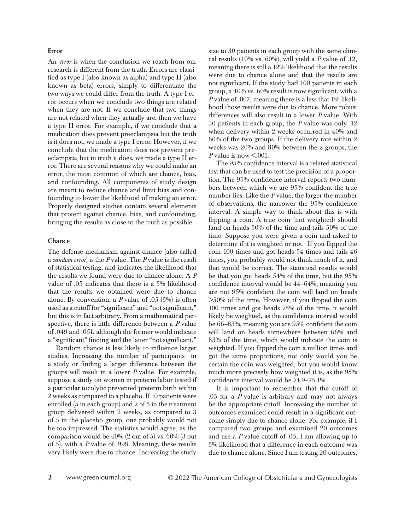#### **Error**

An *error* is when the conclusion we reach from our research is different from the truth. Errors are classified as type I (also known as alpha) and type II (also known as beta) errors, simply to differentiate the two ways we could differ from the truth. A type I error occurs when we conclude two things are related when they are not. If we conclude that two things are not related when they actually are, then we have a type II error. For example, if we conclude that a medication does prevent preeclampsia but the truth is it does not, we made a type I error. However, if we conclude that the medication does not prevent preeclampsia, but in truth it does, we made a type II error. There are several reasons why we could make an error, the most common of which are chance, bias, and confounding. All components of study design are meant to reduce chance and limit bias and confounding to lower the likelihood of making an error. Properly designed studies contain several elements that protect against chance, bias, and confounding, bringing the results as close to the truth as possible.

#### **Chance**

The defense mechanism against chance (also called a *random error*) is the *P* value. The *P* value is the result of statistical testing, and indicates the likelihood that the results we found were due to chance alone. A *P* value of .05 indicates that there is a 5% likelihood that the results we obtained were due to chance alone. By convention, a  $P$  value of .05  $(5\%)$  is often used as a cutoff for "significant" and "not significant," but this is in fact arbitrary. From a mathematical perspective, there is little difference between a *P* value of .049 and .051, although the former would indicate a "significant" finding and the latter "not significant."

Random chance is less likely to influence larger studies. Increasing the number of participants in a study or finding a larger difference between the groups will result in a lower *P* value. For example, suppose a study on women in preterm labor tested if a particular tocolytic prevented preterm birth within 2 weeks as compared to a placebo. If 10 patients were enrolled (5 in each group) and 2 of 5 in the treatment group delivered within 2 weeks, as compared to 3 of 5 in the placebo group, one probably would not be too impressed. The statistics would agree, as the comparison would be 40% (2 out of 5) vs. 60% (3 out of 5), with a *P* value of .999. Meaning, these results very likely were due to chance. Increasing the study

size to 30 patients in each group with the same clinical results (40% vs. 60%), will yield a *P* value of .12, meaning there is still a 12% likelihood that the results were due to chance alone and that the results are not significant. If the study had 100 patients in each group, a 40% vs. 60% result is now significant, with a *P* value of .007, meaning there is a less that 1% likelihood those results were due to chance. More robust differences will also result in a lower *P* value. With 30 patients in each group, the *P* value was only .12 when delivery within 2 weeks occurred in 40% and 60% of the two groups. If the delivery rate within 2 weeks was 20% and 80% between the 2 groups, the *P* value is now  $\leq 0.001$ .

The 95% confidence interval is a related statistical test that can be used to test the precision of a proportion. The 95% confidence interval reports two numbers between which we are 95% confident the true number lies. Like the *P* value, the larger the number of observations, the narrower the 95% confidence interval. A simple way to think about this is with flipping a coin. A true coin (not weighted) should land on heads 50% of the time and tails 50% of the time. Suppose you were given a coin and asked to determine if it is weighted or not. If you flipped the coin 100 times and got heads 54 times and tails 46 times, you probably would not think much of it, and that would be correct. The statistical results would be that you got heads 54% of the time, but the 95% confidence interval would be 44–64%, meaning you are not 95% confident the coin will land on heads >50% of the time. However, if you flipped the coin 100 times and got heads 75% of the time, it would likely be weighted, as the confidence interval would be 66–83%, meaning you are 95% confident the coin will land on heads somewhere between 66% and 83% of the time, which would indicate the coin is weighted. If you flipped the coin a million times and got the same proportions, not only would you be certain the coin was weighted, but you would know much more precisely how weighted it is, as the 95% confidence interval would be 74.9–75.1%.

It is important to remember that the cutoff of .05 for a *P* value is arbitrary and may not always be the appropriate cutoff. Increasing the number of outcomes examined could result in a significant outcome simply due to chance alone. For example, if I compared two groups and examined 20 outcomes and use a *P* value cutoff of .05, I am allowing up to 5% likelihood that a difference in each outcome was due to chance alone. Since I am testing 20 outcomes,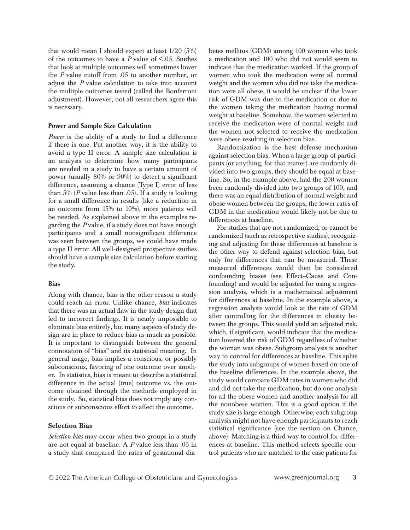that would mean I should expect at least  $1/20$  (5%) of the outcomes to have a  $\overline{P}$  value of <.05. Studies that look at multiple outcomes will sometimes lower the *P* value cutoff from .05 to another number, or adjust the *P* value calculation to take into account the multiple outcomes tested (called the Bonferroni adjustment). However, not all researchers agree this is necessary.

#### **Power and Sample Size Calculation**

*Power* is the ability of a study to find a difference if there is one. Put another way, it is the ability to avoid a type II error. A sample size calculation is an analysis to determine how many participants are needed in a study to have a certain amount of power (usually 80% or 90%) to detect a significant difference, assuming a chance (Type I) error of less than 5% (*P* value less than .05). If a study is looking for a small difference in results (like a reduction in an outcome from 15% to 10%), more patients will be needed. As explained above in the examples regarding the *P* value, if a study does not have enough participants and a small nonsignificant difference was seen between the groups, we could have made a type II error. All well-designed prospective studies should have a sample size calculation before starting the study.

#### **Bias**

Along with chance, bias is the other reason a study could reach an error. Unlike chance, *bias* indicates that there was an actual flaw in the study design that led to incorrect findings. It is nearly impossible to eliminate bias entirely, but many aspects of study design are in place to reduce bias as much as possible. It is important to distinguish between the general connotation of "bias" and its statistical meaning. In general usage, bias implies a conscious, or possibly subconscious, favoring of one outcome over another. In statistics, bias is meant to describe a statistical difference in the actual (true) outcome vs. the outcome obtained through the methods employed in the study. So, statistical bias does not imply any conscious or subconscious effort to affect the outcome.

#### Selection Bias

*Selection bias* may occur when two groups in a study are not equal at baseline. A *P* value less than .05 in a study that compared the rates of gestational diabetes mellitus (GDM) among 100 women who took a medication and 100 who did not would seem to indicate that the medication worked. If the group of women who took the medication were all normal weight and the women who did not take the medication were all obese, it would be unclear if the lower risk of GDM was due to the medication or due to the women taking the medication having normal weight at baseline. Somehow, the women selected to receive the medication were of normal weight and the women not selected to receive the medication were obese resulting in selection bias.

Randomization is the best defense mechanism against selection bias. When a large group of participants (or anything, for that matter) are randomly divided into two groups, they should be equal at baseline. So, in the example above, had the 200 women been randomly divided into two groups of 100, and there was an equal distribution of normal weight and obese women between the groups, the lower rates of GDM in the medication would likely not be due to differences at baseline.

For studies that are not randomized, or cannot be randomized (such as retrospective studies), recognizing and adjusting for these differences at baseline is the other way to defend against selection bias, but only for differences that can be measured. These measured differences would then be considered confounding biases (see Effect–Cause and Confounding) and would be adjusted for using a regression analysis, which is a mathematical adjustment for differences at baseline. In the example above, a regression analysis would look at the rate of GDM after controlling for the differences in obesity between the groups. This would yield an adjusted risk, which, if significant, would indicate that the medication lowered the risk of GDM regardless of whether the woman was obese. Subgroup analysis is another way to control for differences at baseline. This splits the study into subgroups of women based on one of the baseline differences. In the example above, the study would compare GDM rates in women who did and did not take the medication, but do one analysis for all the obese women and another analysis for all the nonobese women. This is a good option if the study size is large enough. Otherwise, each subgroup analysis might not have enough participants to reach statistical significance (see the section on Chance, above). Matching is a third way to control for differences at baseline. This method selects specific control patients who are matched to the case patients for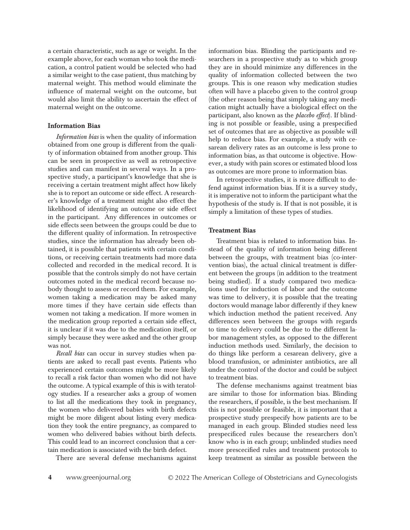a certain characteristic, such as age or weight. In the example above, for each woman who took the medication, a control patient would be selected who had a similar weight to the case patient, thus matching by maternal weight. This method would eliminate the influence of maternal weight on the outcome, but would also limit the ability to ascertain the effect of maternal weight on the outcome.

#### Information Bias

*Information bias* is when the quality of information obtained from one group is different from the quality of information obtained from another group. This can be seen in prospective as well as retrospective studies and can manifest in several ways. In a prospective study, a participant's knowledge that she is receiving a certain treatment might affect how likely she is to report an outcome or side effect. A researcher's knowledge of a treatment might also effect the likelihood of identifying an outcome or side effect in the participant. Any differences in outcomes or side effects seen between the groups could be due to the different quality of information. In retrospective studies, since the information has already been obtained, it is possible that patients with certain conditions, or receiving certain treatments had more data collected and recorded in the medical record. It is possible that the controls simply do not have certain outcomes noted in the medical record because nobody thought to assess or record them. For example, women taking a medication may be asked many more times if they have certain side effects than women not taking a medication. If more women in the medication group reported a certain side effect, it is unclear if it was due to the medication itself, or simply because they were asked and the other group was not.

*Recall bias* can occur in survey studies when patients are asked to recall past events. Patients who experienced certain outcomes might be more likely to recall a risk factor than women who did not have the outcome. A typical example of this is with teratology studies. If a researcher asks a group of women to list all the medications they took in pregnancy, the women who delivered babies with birth defects might be more diligent about listing every medication they took the entire pregnancy, as compared to women who delivered babies without birth defects. This could lead to an incorrect conclusion that a certain medication is associated with the birth defect.

There are several defense mechanisms against

information bias. Blinding the participants and researchers in a prospective study as to which group they are in should minimize any differences in the quality of information collected between the two groups. This is one reason why medication studies often will have a placebo given to the control group (the other reason being that simply taking any medication might actually have a biological effect on the participant, also known as the *placebo effect*). If blinding is not possible or feasible, using a prespecified set of outcomes that are as objective as possible will help to reduce bias. For example, a study with cesarean delivery rates as an outcome is less prone to information bias, as that outcome is objective. However, a study with pain scores or estimated blood loss as outcomes are more prone to information bias.

In retrospective studies, it is more difficult to defend against information bias. If it is a survey study, it is imperative not to inform the participant what the hypothesis of the study is. If that is not possible, it is simply a limitation of these types of studies.

#### Treatment Bias

Treatment bias is related to information bias. Instead of the quality of information being different between the groups, with treatment bias (co-intervention bias), the actual clinical treatment is different between the groups (in addition to the treatment being studied). If a study compared two medications used for induction of labor and the outcome was time to delivery, it is possible that the treating doctors would manage labor differently if they knew which induction method the patient received. Any differences seen between the groups with regards to time to delivery could be due to the different labor management styles, as opposed to the different induction methods used. Similarly, the decision to do things like perform a cesarean delivery, give a blood transfusion, or administer antibiotics, are all under the control of the doctor and could be subject to treatment bias.

The defense mechanisms against treatment bias are similar to those for information bias. Blinding the researchers, if possible, is the best mechanism. If this is not possible or feasible, it is important that a prospective study prespecify how patients are to be managed in each group. Blinded studies need less prespecificed rules because the researchers don't know who is in each group; unblinded studies need more prescecified rules and treatment protocols to keep treatment as similar as possible between the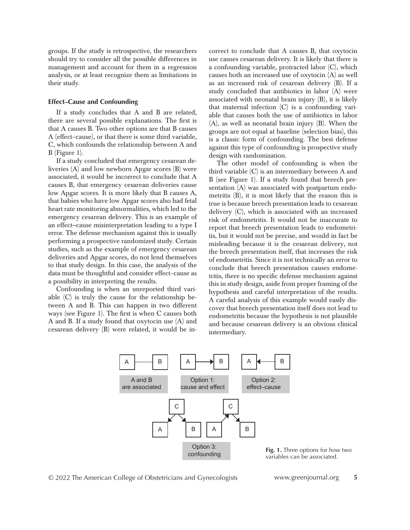groups. If the study is retrospective, the researchers should try to consider all the possible differences in management and account for them in a regression analysis, or at least recognize them as limitations in their study.

#### **Effect–Cause and Confounding**

If a study concludes that A and B are related, there are several possible explanations. The first is that A causes B. Two other options are that B causes A (effect–cause), or that there is some third variable, C, which confounds the relationship between A and B (Figure 1).

If a study concluded that emergency cesarean deliveries (A) and low newborn Apgar scores (B) were associated, it would be incorrect to conclude that A causes B, that emergency cesarean deliveries cause low Apgar scores. It is more likely that B causes A, that babies who have low Apgar scores also had fetal heart rate monitoring abnormalities, which led to the emergency cesarean delivery. This is an example of an effect–cause misinterpretation leading to a type I error. The defense mechanism against this is usually performing a prospective randomized study. Certain studies, such as the example of emergency cesarean deliveries and Apgar scores, do not lend themselves to that study design. In this case, the analysis of the data must be thoughtful and consider effect–cause as a possibility in interpreting the results.

Confounding is when an unreported third variable (C) is truly the cause for the relationship between A and B. This can happen in two different ways (see Figure 1). The first is when C causes both A and B. If a study found that oxytocin use (A) and cesarean delivery (B) were related, it would be incorrect to conclude that A causes B, that oxytocin use causes cesarean delivery. It is likely that there is a confounding variable, protracted labor (C), which causes both an increased use of oxytocin (A) as well as an increased risk of cesarean delivery (B). If a study concluded that antibiotics in labor (A) were associated with neonatal brain injury (B), it is likely that maternal infection (C) is a confounding variable that causes both the use of antibiotics in labor (A), as well as neonatal brain injury (B). When the groups are not equal at baseline (selection bias), this is a classic form of confounding. The best defense against this type of confounding is prospective study design with randomization.

The other model of confounding is when the third variable (C) is an intermediary between A and B (see Figure 1). If a study found that breech presentation (A) was associated with postpartum endometritis (B), it is most likely that the reason this is true is because breech presentation leads to cesarean delivery (C), which is associated with an increased risk of endometritis. It would not be inaccurate to report that breech presentation leads to endometritis, but it would not be precise, and would in fact be misleading because it is the cesarean delivery, not the breech presentation itself, that increases the risk of endometritis. Since it is not technically an error to conclude that breech presentation causes endometritis, there is no specific defense mechanism against this in study design, aside from proper framing of the hypothesis and careful interpretation of the results. A careful analysis of this example would easily discover that breech presentation itself does not lead to endometritis because the hypothesis is not plausible and because cesarean delivery is an obvious clinical intermediary.



variables can be associated.

© 2022 The American College of Obstetricians and Gynecologists www.greenjournal.org **5**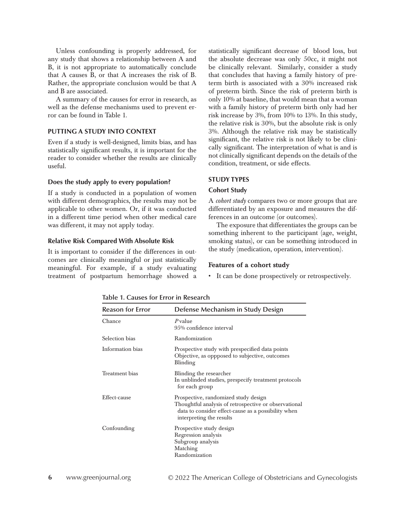Unless confounding is properly addressed, for any study that shows a relationship between A and B, it is not appropriate to automatically conclude that A causes B, or that A increases the risk of B. Rather, the appropriate conclusion would be that A and B are associated.

A summary of the causes for error in research, as well as the defense mechanisms used to prevent error can be found in Table 1.

## **PUTTING A STUDY INTO CONTEXT**

Even if a study is well-designed, limits bias, and has statistically significant results, it is important for the reader to consider whether the results are clinically useful.

#### **Does the study apply to every population?**

If a study is conducted in a population of women with different demographics, the results may not be applicable to other women. Or, if it was conducted in a different time period when other medical care was different, it may not apply today.

#### **Relative Risk Compared With Absolute Risk**

It is important to consider if the differences in outcomes are clinically meaningful or just statistically meaningful. For example, if a study evaluating treatment of postpartum hemorrhage showed a statistically significant decrease of blood loss, but the absolute decrease was only 50cc, it might not be clinically relevant. Similarly, consider a study that concludes that having a family history of preterm birth is associated with a 30% increased risk of preterm birth. Since the risk of preterm birth is only 10% at baseline, that would mean that a woman with a family history of preterm birth only had her risk increase by 3%, from 10% to 13%. In this study, the relative risk is 30%, but the absolute risk is only 3%. Although the relative risk may be statistically significant, the relative risk is not likely to be clinically significant. The interpretation of what is and is not clinically significant depends on the details of the condition, treatment, or side effects.

## **STUDY TYPES**

#### **Cohort Study**

A *cohort study* compares two or more groups that are differentiated by an exposure and measures the differences in an outcome (or outcomes).

The exposure that differentiates the groups can be something inherent to the participant (age, weight, smoking status), or can be something introduced in the study (medication, operation, intervention).

#### Features of a cohort study

• It can be done prospectively or retrospectively.

| <b>Reason for Error</b> | Defense Mechanism in Study Design                                                                                                                                                |
|-------------------------|----------------------------------------------------------------------------------------------------------------------------------------------------------------------------------|
| Chance                  | $P$ value<br>9.5% confidence interval                                                                                                                                            |
| Selection bias          | Randomization                                                                                                                                                                    |
| Information bias        | Prospective study with prespecified data points<br>Objective, as oppposed to subjective, outcomes<br>Blinding                                                                    |
| Treatment bias          | Blinding the researcher<br>In unblinded studies, prespecify treatment protocols<br>for each group                                                                                |
| Effect-cause            | Prospective, randomized study design<br>Thoughtful analysis of retrospective or observational<br>data to consider effect-cause as a possibility when<br>interpreting the results |
| Confounding             | Prospective study design<br>Regression analysis<br>Subgroup analysis<br>Matching<br>Randomization                                                                                |

**Table 1. Causes for Error in Research**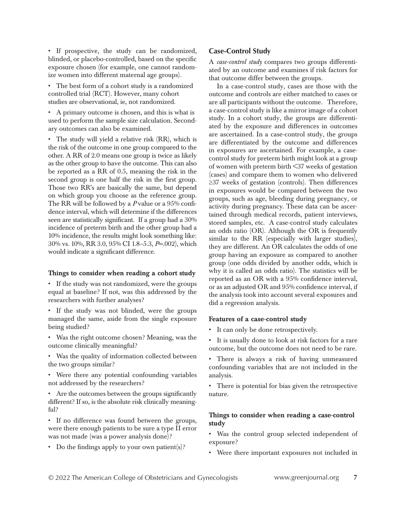• If prospective, the study can be randomized, blinded, or placebo-controlled, based on the specific exposure chosen (for example, one cannot randomize women into different maternal age groups).

• The best form of a cohort study is a randomized controlled trial (RCT). However, many cohort studies are observational, ie, not randomized.

• A primary outcome is chosen, and this is what is used to perform the sample size calculation. Secondary outcomes can also be examined.

• The study will yield a relative risk (RR), which is the risk of the outcome in one group compared to the other. A RR of 2.0 means one group is twice as likely as the other group to have the outcome. This can also be reported as a RR of 0.5, meaning the risk in the second group is one half the risk in the first group. Those two RR's are basically the same, but depend on which group you choose as the reference group. The RR will be followed by a *P* value or a 95% confidence interval, which will determine if the differences seen are statistically significant. If a group had a 30% incidence of preterm birth and the other group had a 10% incidence, the results might look something like: 30% vs. 10%, RR 3.0, 95% CI 1.8–5.3, *P*=.002), which would indicate a significant difference.

#### Things to consider when reading a cohort study

• If the study was not randomized, were the groups equal at baseline? If not, was this addressed by the researchers with further analyses?

• If the study was not blinded, were the groups managed the same, aside from the single exposure being studied?

• Was the right outcome chosen? Meaning, was the outcome clinically meaningful?

• Was the quality of information collected between the two groups similar?

• Were there any potential confounding variables not addressed by the researchers?

• Are the outcomes between the groups significantly different? If so, is the absolute risk clinically meaningful?

• If no difference was found between the groups, were there enough patients to be sure a type II error was not made (was a power analysis done)?

• Do the findings apply to your own patient(s)?

## **Case-Control Study**

A *case-control study* compares two groups differentiated by an outcome and examines if risk factors for that outcome differ between the groups.

In a case-control study, cases are those with the outcome and controls are either matched to cases or are all participants without the outcome. Therefore, a case-control study is like a mirror image of a cohort study. In a cohort study, the groups are differentiated by the exposure and differences in outcomes are ascertained. In a case-control study, the groups are differentiated by the outcome and differences in exposures are ascertained. For example, a casecontrol study for preterm birth might look at a group of women with preterm birth <37 weeks of gestation (cases) and compare them to women who delivered ≥37 weeks of gestation (controls). Then differences in exposures would be compared between the two groups, such as age, bleeding during pregnancy, or activity during pregnancy. These data can be ascertained through medical records, patient interviews, stored samples, etc. A case-control study calculates an odds ratio (OR). Although the OR is frequently similar to the RR (especially with larger studies), they are different. An OR calculates the odds of one group having an exposure as compared to another group (one odds divided by another odds, which is why it is called an odds ratio). The statistics will be reported as an OR with a 95% confidence interval, or as an adjusted OR and 95% confidence interval, if the analysis took into account several exposures and did a regression analysis.

#### Features of a case-control study

- It can only be done retrospectively.
- It is usually done to look at risk factors for a rare outcome, but the outcome does not need to be rare.

• There is always a risk of having unmeasured confounding variables that are not included in the analysis.

• There is potential for bias given the retrospective nature.

## Things to consider when reading a case-control study

• Was the control group selected independent of exposure?

• Were there important exposures not included in

© 2022 The American College of Obstetricians and Gynecologists www.greenjournal.org **7**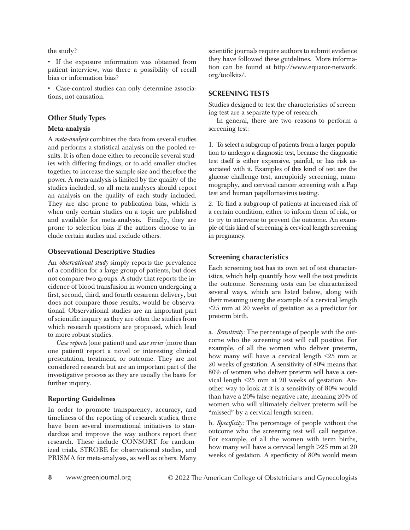the study?

• If the exposure information was obtained from patient interview, was there a possibility of recall bias or information bias?

• Case-control studies can only determine associations, not causation.

## **Other Study Types**

#### Meta-analysis

A *meta-analysis* combines the data from several studies and performs a statistical analysis on the pooled results. It is often done either to reconcile several studies with differing findings, or to add smaller studies together to increase the sample size and therefore the power. A meta-analysis is limited by the quality of the studies included, so all meta-analyses should report an analysis on the quality of each study included. They are also prone to publication bias, which is when only certain studies on a topic are published and available for meta-analysis. Finally, they are prone to selection bias if the authors choose to include certain studies and exclude others.

#### Observational Descriptive Studies

An *observational study* simply reports the prevalence of a condition for a large group of patients, but does not compare two groups. A study that reports the incidence of blood transfusion in women undergoing a first, second, third, and fourth cesarean delivery, but does not compare those results, would be observational. Observational studies are an important part of scientific inquiry as they are often the studies from which research questions are proposed, which lead to more robust studies.

*Case reports* (one patient) and *case series* (more than one patient) report a novel or interesting clinical presentation, treatment, or outcome. They are not considered research but are an important part of the investigative process as they are usually the basis for further inquiry.

## Reporting Guidelines

In order to promote transparency, accuracy, and timeliness of the reporting of research studies, there have been several international initiatives to standardize and improve the way authors report their research. These include CONSORT for randomized trials, STROBE for observational studies, and PRISMA for meta-analyses, as well as others. Many scientific journals require authors to submit evidence they have followed these guidelines. More information can be found at http://www.equator-network. org/toolkits/.

# **SCREENING TESTS**

Studies designed to test the characteristics of screening test are a separate type of research.

In general, there are two reasons to perform a screening test:

1. To select a subgroup of patients from a larger population to undergo a diagnostic test, because the diagnostic test itself is either expensive, painful, or has risk associated with it. Examples of this kind of test are the glucose challenge test, aneuploidy screening, mammography, and cervical cancer screening with a Pap test and human papillomavirus testing.

2. To find a subgroup of patients at increased risk of a certain condition, either to inform them of risk, or to try to intervene to prevent the outcome. An example of this kind of screening is cervical length screening in pregnancy.

# **Screening characteristics**

Each screening test has its own set of test characteristics, which help quantify how well the test predicts the outcome. Screening tests can be characterized several ways, which are listed below, along with their meaning using the example of a cervical length ≤25 mm at 20 weeks of gestation as a predictor for preterm birth.

a. *Sensitivity:* The percentage of people with the outcome who the screening test will call positive. For example, of all the women who deliver preterm, how many will have a cervical length ≤25 mm at 20 weeks of gestation. A sensitivity of 80% means that 80% of women who deliver preterm will have a cervical length ≤25 mm at 20 weeks of gestation. Another way to look at it is a sensitivity of 80% would than have a 20% false-negative rate, meaning 20% of women who will ultimately deliver preterm will be "missed" by a cervical length screen.

b. *Specificity:* The percentage of people without the outcome who the screening test will call negative. For example, of all the women with term births, how many will have a cervical length >25 mm at 20 weeks of gestation. A specificity of 80% would mean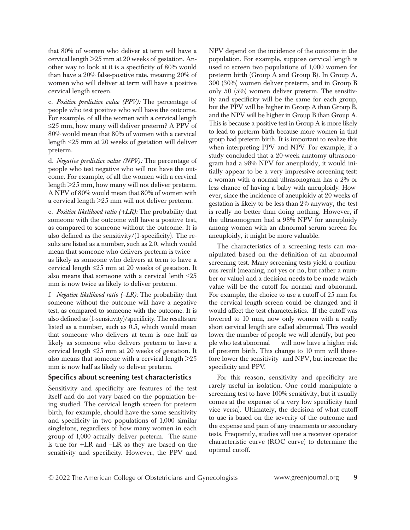that 80% of women who deliver at term will have a cervical length >25 mm at 20 weeks of gestation. Another way to look at it is a specificity of 80% would than have a 20% false-positive rate, meaning 20% of women who will deliver at term will have a positive cervical length screen.

c. *Positive predictive value (PPV):* The percentage of people who test positive who will have the outcome. For example, of all the women with a cervical length ≤25 mm, how many will deliver preterm? A PPV of 80% would mean that 80% of women with a cervical length ≤25 mm at 20 weeks of gestation will deliver preterm.

d. *Negative predictive value (NPV):* The percentage of people who test negative who will not have the outcome. For example, of all the women with a cervical length >25 mm, how many will not deliver preterm. A NPV of 80% would mean that 80% of women with a cervical length >25 mm will not deliver preterm.

e. *Positive likelihood ratio (+LR):* The probability that someone with the outcome will have a positive test, as compared to someone without the outcome. It is also defined as the sensitivity/(1-specificity). The results are listed as a number, such as 2.0, which would mean that someone who delivers preterm is twice as likely as someone who delivers at term to have a cervical length  $\leq 25$  mm at 20 weeks of gestation. It also means that someone with a cervical lenth  $\leq\!\!25$ mm is now twice as likely to deliver preterm.

f. *Negative likelihood ratio (–LR):* The probability that someone without the outcome will have a negative test, as compared to someone with the outcome. It is also defined as (1-sensitivity)/specificity. The results are listed as a number, such as 0.5, which would mean that someone who delivers at term is one half as likely as someone who delivers preterm to have a cervical length ≤25 mm at 20 weeks of gestation. It also means that someone with a cervical length >25 mm is now half as likely to deliver preterm.

# **Specifics about screening test characteristics**

Sensitivity and specificity are features of the test itself and do not vary based on the population being studied. The cervical length screen for preterm birth, for example, should have the same sensitivity and specificity in two populations of 1,000 similar singletons, regardless of how many women in each group of 1,000 actually deliver preterm. The same is true for +LR and –LR as they are based on the sensitivity and specificity. However, the PPV and

NPV depend on the incidence of the outcome in the population. For example, suppose cervical length is used to screen two populations of 1,000 women for preterm birth (Group A and Group B). In Group A, 300 (30%) women deliver preterm, and in Group B only 50 (5%) women deliver preterm. The sensitivity and specificity will be the same for each group, but the PPV will be higher in Group A than Group B, and the NPV will be higher in Group B than Group A. This is because a positive test in Group A is more likely to lead to preterm birth because more women in that group had preterm birth. It is important to realize this when interpreting PPV and NPV. For example, if a study concluded that a 20-week anatomy ultrasonogram had a 98% NPV for aneuploidy, it would initially appear to be a very impressive screening test: a woman with a normal ultrasonogram has a 2% or less chance of having a baby with aneuploidy. However, since the incidence of aneuploidy at 20 weeks of gestation is likely to be less than 2% anyway, the test is really no better than doing nothing. However, if the ultrasonogram had a 98% NPV for aneuploidy among women with an abnormal serum screen for aneuploidy, it might be more valuable.

The characteristics of a screening tests can manipulated based on the definition of an abnormal screening test. Many screening tests yield a continuous result (meaning, not yes or no, but rather a number or value) and a decision needs to be made which value will be the cutoff for normal and abnormal. For example, the choice to use a cutoff of 25 mm for the cervical length screen could be changed and it would affect the test characteristics. If the cutoff was lowered to 10 mm, now only women with a really short cervical length are called abnormal. This would lower the number of people we will identify, but people who test abnormal will now have a higher risk of preterm birth. This change to 10 mm will therefore lower the sensitivity and NPV, but increase the specificity and PPV.

For this reason, sensitivity and specificity are rarely useful in isolation. One could manipulate a screening test to have 100% sensitivity, but it usually comes at the expense of a very low specificity (and vice versa). Ultimately, the decision of what cutoff to use is based on the severity of the outcome and the expense and pain of any treatments or secondary tests. Frequently, studies will use a receiver operator characteristic curve (ROC curve) to determine the optimal cutoff.